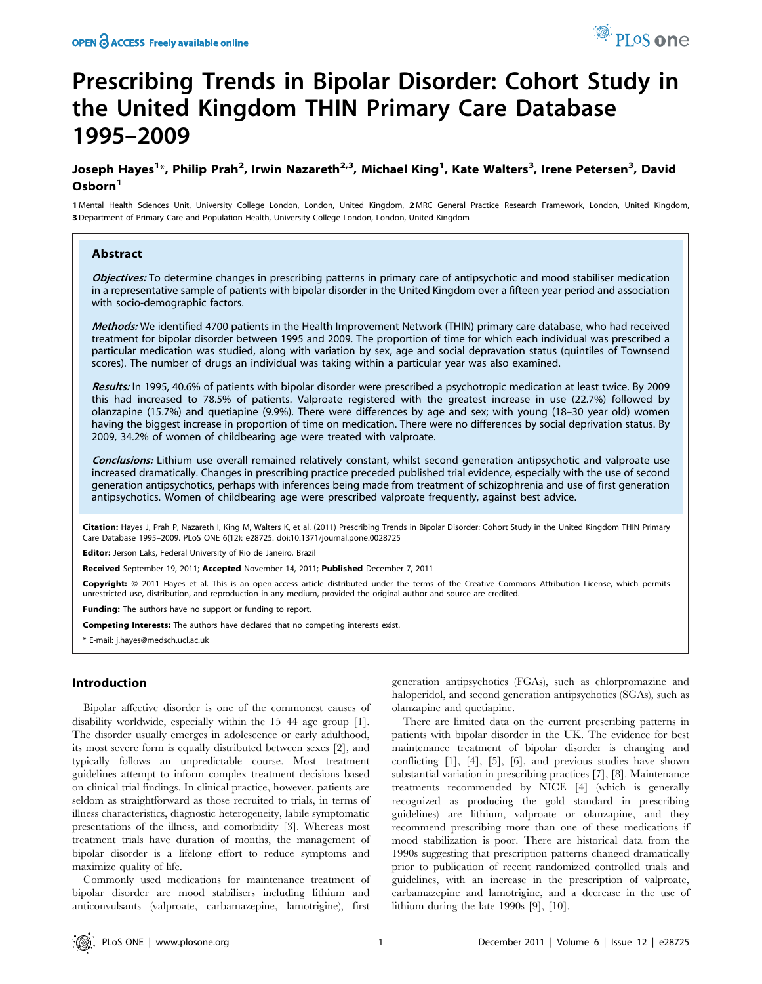# Prescribing Trends in Bipolar Disorder: Cohort Study in the United Kingdom THIN Primary Care Database 1995–2009

# Joseph Hayes<sup>1</sup>\*, Philip Prah<sup>2</sup>, Irwin Nazareth<sup>2,3</sup>, Michael King<sup>1</sup>, Kate Walters<sup>3</sup>, Irene Petersen<sup>3</sup>, David Osborn<sup>1</sup>

1 Mental Health Sciences Unit, University College London, London, United Kingdom, 2 MRC General Practice Research Framework, London, United Kingdom, 3 Department of Primary Care and Population Health, University College London, London, United Kingdom

# Abstract

Objectives: To determine changes in prescribing patterns in primary care of antipsychotic and mood stabiliser medication in a representative sample of patients with bipolar disorder in the United Kingdom over a fifteen year period and association with socio-demographic factors.

Methods: We identified 4700 patients in the Health Improvement Network (THIN) primary care database, who had received treatment for bipolar disorder between 1995 and 2009. The proportion of time for which each individual was prescribed a particular medication was studied, along with variation by sex, age and social depravation status (quintiles of Townsend scores). The number of drugs an individual was taking within a particular year was also examined.

Results: In 1995, 40.6% of patients with bipolar disorder were prescribed a psychotropic medication at least twice. By 2009 this had increased to 78.5% of patients. Valproate registered with the greatest increase in use (22.7%) followed by olanzapine (15.7%) and quetiapine (9.9%). There were differences by age and sex; with young (18–30 year old) women having the biggest increase in proportion of time on medication. There were no differences by social deprivation status. By 2009, 34.2% of women of childbearing age were treated with valproate.

Conclusions: Lithium use overall remained relatively constant, whilst second generation antipsychotic and valproate use increased dramatically. Changes in prescribing practice preceded published trial evidence, especially with the use of second generation antipsychotics, perhaps with inferences being made from treatment of schizophrenia and use of first generation antipsychotics. Women of childbearing age were prescribed valproate frequently, against best advice.

Citation: Hayes J, Prah P, Nazareth I, King M, Walters K, et al. (2011) Prescribing Trends in Bipolar Disorder: Cohort Study in the United Kingdom THIN Primary Care Database 1995–2009. PLoS ONE 6(12): e28725. doi:10.1371/journal.pone.0028725

Editor: Jerson Laks, Federal University of Rio de Janeiro, Brazil

Received September 19, 2011; Accepted November 14, 2011; Published December 7, 2011

Copyright: © 2011 Hayes et al. This is an open-access article distributed under the terms of the Creative Commons Attribution License, which permits unrestricted use, distribution, and reproduction in any medium, provided the original author and source are credited.

Funding: The authors have no support or funding to report.

Competing Interests: The authors have declared that no competing interests exist.

\* E-mail: j.hayes@medsch.ucl.ac.uk

# Introduction

Bipolar affective disorder is one of the commonest causes of disability worldwide, especially within the 15–44 age group [1]. The disorder usually emerges in adolescence or early adulthood, its most severe form is equally distributed between sexes [2], and typically follows an unpredictable course. Most treatment guidelines attempt to inform complex treatment decisions based on clinical trial findings. In clinical practice, however, patients are seldom as straightforward as those recruited to trials, in terms of illness characteristics, diagnostic heterogeneity, labile symptomatic presentations of the illness, and comorbidity [3]. Whereas most treatment trials have duration of months, the management of bipolar disorder is a lifelong effort to reduce symptoms and maximize quality of life.

Commonly used medications for maintenance treatment of bipolar disorder are mood stabilisers including lithium and anticonvulsants (valproate, carbamazepine, lamotrigine), first

generation antipsychotics (FGAs), such as chlorpromazine and haloperidol, and second generation antipsychotics (SGAs), such as olanzapine and quetiapine.

There are limited data on the current prescribing patterns in patients with bipolar disorder in the UK. The evidence for best maintenance treatment of bipolar disorder is changing and conflicting [1], [4], [5], [6], and previous studies have shown substantial variation in prescribing practices [7], [8]. Maintenance treatments recommended by NICE [4] (which is generally recognized as producing the gold standard in prescribing guidelines) are lithium, valproate or olanzapine, and they recommend prescribing more than one of these medications if mood stabilization is poor. There are historical data from the 1990s suggesting that prescription patterns changed dramatically prior to publication of recent randomized controlled trials and guidelines, with an increase in the prescription of valproate, carbamazepine and lamotrigine, and a decrease in the use of lithium during the late 1990s [9], [10].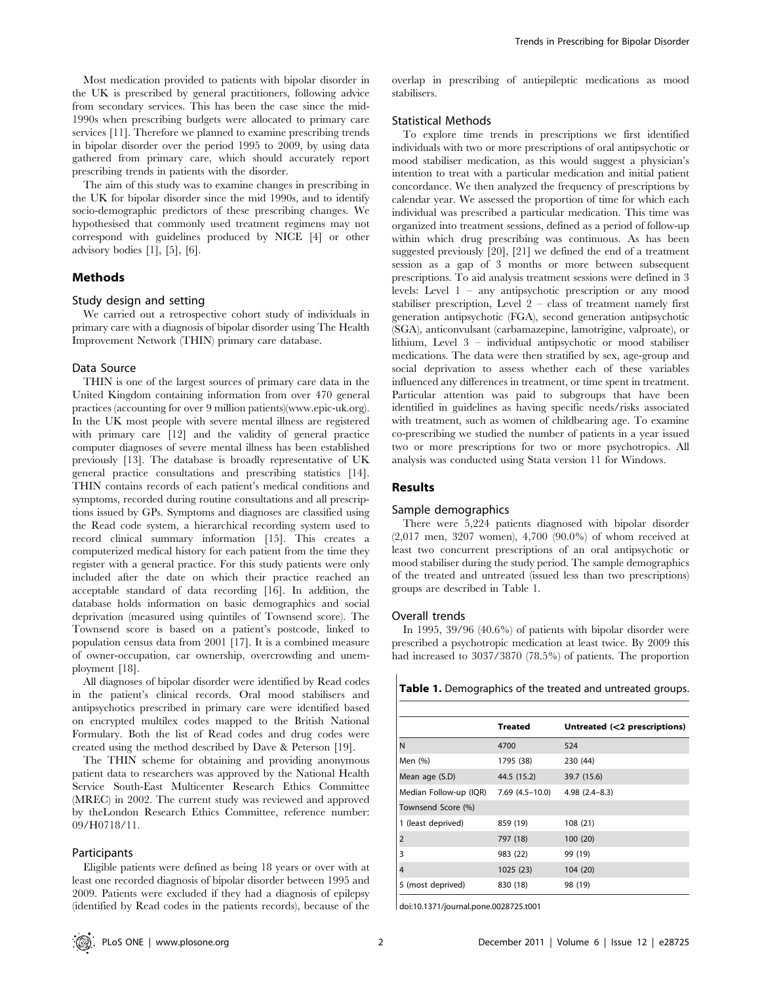Most medication provided to patients with bipolar disorder in the UK is prescribed by general practitioners, following advice from secondary services. This has been the case since the mid-1990s when prescribing budgets were allocated to primary care services [11]. Therefore we planned to examine prescribing trends in bipolar disorder over the period 1995 to 2009, by using data gathered from primary care, which should accurately report prescribing trends in patients with the disorder.

The aim of this study was to examine changes in prescribing in the UK for bipolar disorder since the mid 1990s, and to identify socio-demographic predictors of these prescribing changes. We hypothesised that commonly used treatment regimens may not correspond with guidelines produced by NICE [4] or other advisory bodies [1], [5], [6].

# Methods

# Study design and setting

We carried out a retrospective cohort study of individuals in primary care with a diagnosis of bipolar disorder using The Health Improvement Network (THIN) primary care database.

# Data Source

THIN is one of the largest sources of primary care data in the United Kingdom containing information from over 470 general practices (accounting for over 9 million patients)(www.epic-uk.org). In the UK most people with severe mental illness are registered with primary care [12] and the validity of general practice computer diagnoses of severe mental illness has been established previously [13]. The database is broadly representative of UK general practice consultations and prescribing statistics [14]. THIN contains records of each patient's medical conditions and symptoms, recorded during routine consultations and all prescriptions issued by GPs. Symptoms and diagnoses are classified using the Read code system, a hierarchical recording system used to record clinical summary information [15]. This creates a computerized medical history for each patient from the time they register with a general practice. For this study patients were only included after the date on which their practice reached an acceptable standard of data recording [16]. In addition, the database holds information on basic demographics and social deprivation (measured using quintiles of Townsend score). The Townsend score is based on a patient's postcode, linked to population census data from 2001 [17]. It is a combined measure of owner-occupation, car ownership, overcrowding and unemployment [18].

All diagnoses of bipolar disorder were identified by Read codes in the patient's clinical records. Oral mood stabilisers and antipsychotics prescribed in primary care were identified based on encrypted multilex codes mapped to the British National Formulary. Both the list of Read codes and drug codes were created using the method described by Dave & Peterson [19].

The THIN scheme for obtaining and providing anonymous patient data to researchers was approved by the National Health Service South-East Multicenter Research Ethics Committee (MREC) in 2002. The current study was reviewed and approved by theLondon Research Ethics Committee, reference number: 09/H0718/11.

# Participants

Eligible patients were defined as being 18 years or over with at least one recorded diagnosis of bipolar disorder between 1995 and 2009. Patients were excluded if they had a diagnosis of epilepsy (identified by Read codes in the patients records), because of the

overlap in prescribing of antiepileptic medications as mood stabilisers.

# Statistical Methods

To explore time trends in prescriptions we first identified individuals with two or more prescriptions of oral antipsychotic or mood stabiliser medication, as this would suggest a physician's intention to treat with a particular medication and initial patient concordance. We then analyzed the frequency of prescriptions by calendar year. We assessed the proportion of time for which each individual was prescribed a particular medication. This time was organized into treatment sessions, defined as a period of follow-up within which drug prescribing was continuous. As has been suggested previously [20], [21] we defined the end of a treatment session as a gap of 3 months or more between subsequent prescriptions. To aid analysis treatment sessions were defined in 3 levels: Level 1 – any antipsychotic prescription or any mood stabiliser prescription, Level 2 – class of treatment namely first generation antipsychotic (FGA), second generation antipsychotic (SGA), anticonvulsant (carbamazepine, lamotrigine, valproate), or lithium, Level 3 – individual antipsychotic or mood stabiliser medications. The data were then stratified by sex, age-group and social deprivation to assess whether each of these variables influenced any differences in treatment, or time spent in treatment. Particular attention was paid to subgroups that have been identified in guidelines as having specific needs/risks associated with treatment, such as women of childbearing age. To examine co-prescribing we studied the number of patients in a year issued two or more prescriptions for two or more psychotropics. All analysis was conducted using Stata version 11 for Windows.

#### Results

#### Sample demographics

There were 5,224 patients diagnosed with bipolar disorder (2,017 men, 3207 women), 4,700 (90.0%) of whom received at least two concurrent prescriptions of an oral antipsychotic or mood stabiliser during the study period. The sample demographics of the treated and untreated (issued less than two prescriptions) groups are described in Table 1.

# Overall trends

In 1995, 39/96 (40.6%) of patients with bipolar disorder were prescribed a psychotropic medication at least twice. By 2009 this had increased to 3037/3870 (78.5%) of patients. The proportion

Table 1. Demographics of the treated and untreated groups.

|                        | Treated          | Untreated (<2 prescriptions) |  |  |
|------------------------|------------------|------------------------------|--|--|
| N                      | 4700             | 524                          |  |  |
| Men (%)                | 1795 (38)        | 230 (44)                     |  |  |
| Mean age (S.D)         | 44.5 (15.2)      | 39.7 (15.6)                  |  |  |
| Median Follow-up (IQR) | $7.69(4.5-10.0)$ | $4.98(2.4 - 8.3)$            |  |  |
| Townsend Score (%)     |                  |                              |  |  |
| 1 (least deprived)     | 859 (19)         | 108 (21)                     |  |  |
| $\overline{2}$         | 797 (18)         | 100(20)                      |  |  |
| 3                      | 983 (22)         | 99 (19)                      |  |  |
| $\overline{4}$         | 1025 (23)        | 104 (20)                     |  |  |
| 5 (most deprived)      | 830 (18)         | 98 (19)                      |  |  |

doi:10.1371/journal.pone.0028725.t001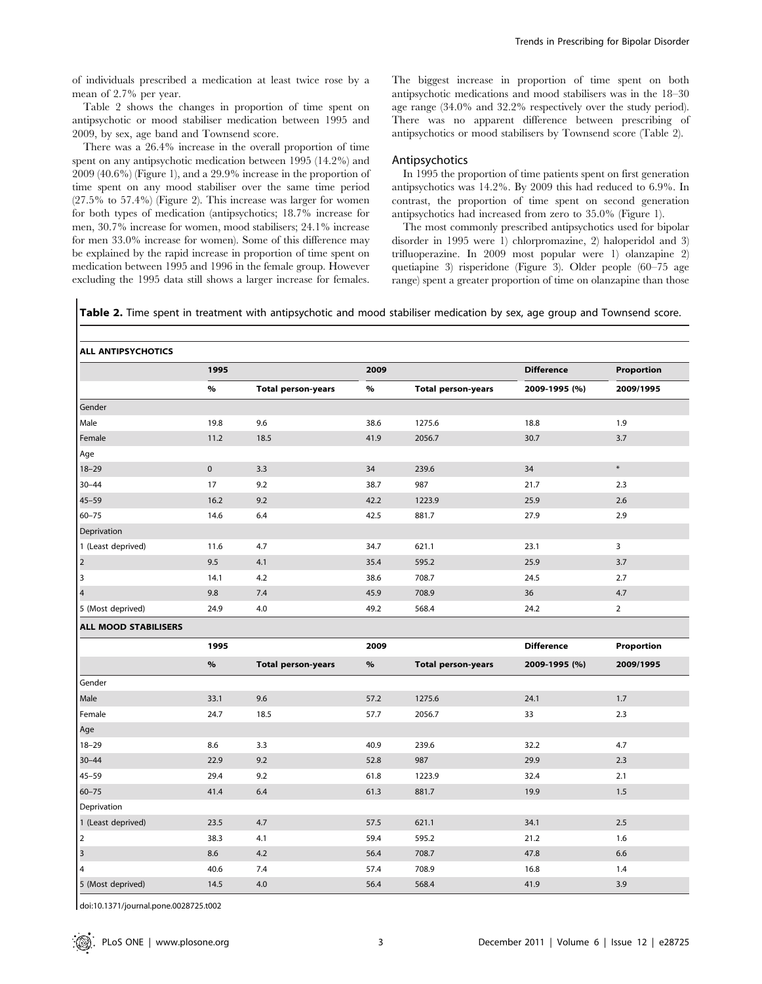of individuals prescribed a medication at least twice rose by a mean of 2.7% per year.

Table 2 shows the changes in proportion of time spent on antipsychotic or mood stabiliser medication between 1995 and 2009, by sex, age band and Townsend score.

There was a 26.4% increase in the overall proportion of time spent on any antipsychotic medication between 1995 (14.2%) and 2009 (40.6%) (Figure 1), and a 29.9% increase in the proportion of time spent on any mood stabiliser over the same time period (27.5% to 57.4%) (Figure 2). This increase was larger for women for both types of medication (antipsychotics; 18.7% increase for men, 30.7% increase for women, mood stabilisers; 24.1% increase for men 33.0% increase for women). Some of this difference may be explained by the rapid increase in proportion of time spent on medication between 1995 and 1996 in the female group. However excluding the 1995 data still shows a larger increase for females. The biggest increase in proportion of time spent on both antipsychotic medications and mood stabilisers was in the 18–30 age range (34.0% and 32.2% respectively over the study period). There was no apparent difference between prescribing of antipsychotics or mood stabilisers by Townsend score (Table 2).

# Antipsychotics

In 1995 the proportion of time patients spent on first generation antipsychotics was 14.2%. By 2009 this had reduced to 6.9%. In contrast, the proportion of time spent on second generation antipsychotics had increased from zero to 35.0% (Figure 1).

The most commonly prescribed antipsychotics used for bipolar disorder in 1995 were 1) chlorpromazine, 2) haloperidol and 3) trifluoperazine. In 2009 most popular were 1) olanzapine 2) quetiapine 3) risperidone (Figure 3). Older people (60–75 age range) spent a greater proportion of time on olanzapine than those

Table 2. Time spent in treatment with antipsychotic and mood stabiliser medication by sex, age group and Townsend score.

| <b>ALL ANTIPSYCHOTICS</b>             |             |                           |      |                           |                   |                |  |  |
|---------------------------------------|-------------|---------------------------|------|---------------------------|-------------------|----------------|--|--|
|                                       | 1995        |                           |      |                           | <b>Difference</b> | Proportion     |  |  |
|                                       | $\%$        | <b>Total person-years</b> | $\%$ | <b>Total person-years</b> | 2009-1995 (%)     | 2009/1995      |  |  |
| Gender                                |             |                           |      |                           |                   |                |  |  |
| Male                                  | 19.8        | 9.6                       | 38.6 | 1275.6                    | 18.8              | 1.9            |  |  |
| Female                                | 11.2        | 18.5                      | 41.9 | 2056.7                    | 30.7              | 3.7            |  |  |
| Age                                   |             |                           |      |                           |                   |                |  |  |
| $18 - 29$                             | $\mathbf 0$ | 3.3                       | 34   | 239.6                     | 34                | $\ast$         |  |  |
| $30 - 44$                             | 17          | 9.2                       | 38.7 | 987                       | 21.7              | 2.3            |  |  |
| $45 - 59$                             | 16.2        | 9.2                       | 42.2 | 1223.9                    | 25.9              | 2.6            |  |  |
| $60 - 75$                             | 14.6        | 6.4                       | 42.5 | 881.7                     | 27.9              | 2.9            |  |  |
| Deprivation                           |             |                           |      |                           |                   |                |  |  |
| 1 (Least deprived)                    | 11.6        | 4.7                       | 34.7 | 621.1                     | 23.1              | 3              |  |  |
|                                       | 9.5         | 4.1                       | 35.4 | 595.2                     | 25.9              | 3.7            |  |  |
| $\begin{array}{c} 2 \\ 3 \end{array}$ | 14.1        | 4.2                       | 38.6 | 708.7                     | 24.5              | 2.7            |  |  |
| $\vert$ 4                             | 9.8         | 7.4                       | 45.9 | 708.9                     | 36                | 4.7            |  |  |
| 5 (Most deprived)                     | 24.9        | 4.0                       | 49.2 | 568.4                     | 24.2              | $\overline{2}$ |  |  |
| <b>ALL MOOD STABILISERS</b>           |             |                           |      |                           |                   |                |  |  |
|                                       | 1995        |                           |      |                           | <b>Difference</b> | Proportion     |  |  |
|                                       | $\%$        | <b>Total person-years</b> | $\%$ | <b>Total person-years</b> | 2009-1995 (%)     | 2009/1995      |  |  |
| Gender                                |             |                           |      |                           |                   |                |  |  |
| Male                                  | 33.1        | 9.6                       | 57.2 | 1275.6                    | 24.1              | 1.7            |  |  |
| Female                                | 24.7        | 18.5                      | 57.7 | 2056.7                    | 33                | 2.3            |  |  |
| Age                                   |             |                           |      |                           |                   |                |  |  |
| $18 - 29$                             | 8.6         | 3.3                       | 40.9 | 239.6                     | 32.2              | 4.7            |  |  |
| $30 - 44$                             | 22.9        | 9.2                       | 52.8 | 987                       | 29.9              | 2.3            |  |  |
| $45 - 59$                             | 29.4        | 9.2                       | 61.8 | 1223.9                    | 32.4              | 2.1            |  |  |
| $60 - 75$                             | 41.4        | 6.4                       | 61.3 | 881.7                     | 19.9              | 1.5            |  |  |
| Deprivation                           |             |                           |      |                           |                   |                |  |  |
| 1 (Least deprived)                    | 23.5        | 4.7                       | 57.5 | 621.1                     | 34.1              | 2.5            |  |  |
| $\vert$ <sup>2</sup>                  | 38.3        | 4.1                       | 59.4 | 595.2                     | 21.2              | 1.6            |  |  |
| $\vert$ <sub>3</sub>                  | 8.6         | 4.2                       | 56.4 | 708.7                     | 47.8              | 6.6            |  |  |
| 4                                     | 40.6        | 7.4                       | 57.4 | 708.9                     | 16.8              | 1.4            |  |  |
|                                       |             |                           |      |                           |                   |                |  |  |

doi:10.1371/journal.pone.0028725.t002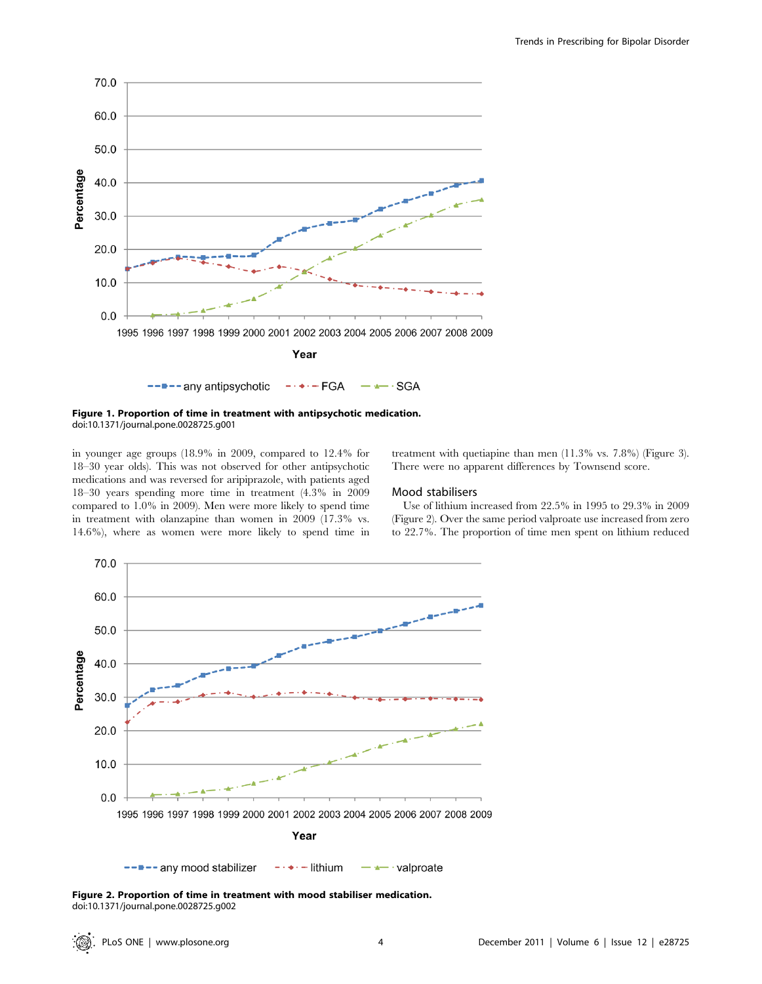

Figure 1. Proportion of time in treatment with antipsychotic medication. doi:10.1371/journal.pone.0028725.g001

in younger age groups (18.9% in 2009, compared to 12.4% for 18–30 year olds). This was not observed for other antipsychotic medications and was reversed for aripiprazole, with patients aged 18–30 years spending more time in treatment (4.3% in 2009 compared to 1.0% in 2009). Men were more likely to spend time in treatment with olanzapine than women in 2009 (17.3% vs. 14.6%), where as women were more likely to spend time in

# treatment with quetiapine than men (11.3% vs. 7.8%) (Figure 3). There were no apparent differences by Townsend score.

# Mood stabilisers

Use of lithium increased from 22.5% in 1995 to 29.3% in 2009 (Figure 2). Over the same period valproate use increased from zero to 22.7%. The proportion of time men spent on lithium reduced



Figure 2. Proportion of time in treatment with mood stabiliser medication. doi:10.1371/journal.pone.0028725.g002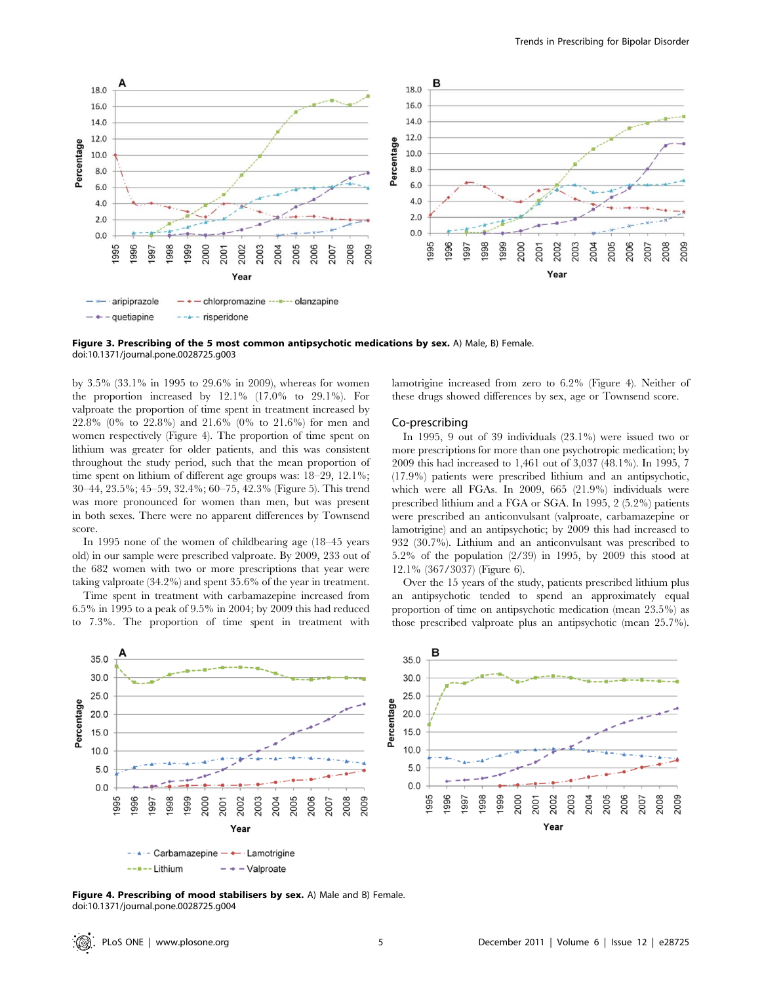

Figure 3. Prescribing of the 5 most common antipsychotic medications by sex. A) Male, B) Female. doi:10.1371/journal.pone.0028725.g003

by 3.5% (33.1% in 1995 to 29.6% in 2009), whereas for women the proportion increased by 12.1% (17.0% to 29.1%). For valproate the proportion of time spent in treatment increased by 22.8% (0% to 22.8%) and 21.6% (0% to 21.6%) for men and women respectively (Figure 4). The proportion of time spent on lithium was greater for older patients, and this was consistent throughout the study period, such that the mean proportion of time spent on lithium of different age groups was: 18–29, 12.1%; 30–44, 23.5%; 45–59, 32.4%; 60–75, 42.3% (Figure 5). This trend was more pronounced for women than men, but was present in both sexes. There were no apparent differences by Townsend score.

In 1995 none of the women of childbearing age (18–45 years old) in our sample were prescribed valproate. By 2009, 233 out of the 682 women with two or more prescriptions that year were taking valproate (34.2%) and spent 35.6% of the year in treatment.

Time spent in treatment with carbamazepine increased from 6.5% in 1995 to a peak of 9.5% in 2004; by 2009 this had reduced to 7.3%. The proportion of time spent in treatment with

lamotrigine increased from zero to 6.2% (Figure 4). Neither of these drugs showed differences by sex, age or Townsend score.

# Co-prescribing

In 1995, 9 out of 39 individuals (23.1%) were issued two or more prescriptions for more than one psychotropic medication; by 2009 this had increased to 1,461 out of 3,037 (48.1%). In 1995, 7 (17.9%) patients were prescribed lithium and an antipsychotic, which were all FGAs. In 2009, 665 (21.9%) individuals were prescribed lithium and a FGA or SGA. In 1995, 2 (5.2%) patients were prescribed an anticonvulsant (valproate, carbamazepine or lamotrigine) and an antipsychotic; by 2009 this had increased to 932 (30.7%). Lithium and an anticonvulsant was prescribed to 5.2% of the population (2/39) in 1995, by 2009 this stood at 12.1% (367/3037) (Figure 6).

Over the 15 years of the study, patients prescribed lithium plus an antipsychotic tended to spend an approximately equal proportion of time on antipsychotic medication (mean 23.5%) as those prescribed valproate plus an antipsychotic (mean 25.7%).



Figure 4. Prescribing of mood stabilisers by sex. A) Male and B) Female. doi:10.1371/journal.pone.0028725.g004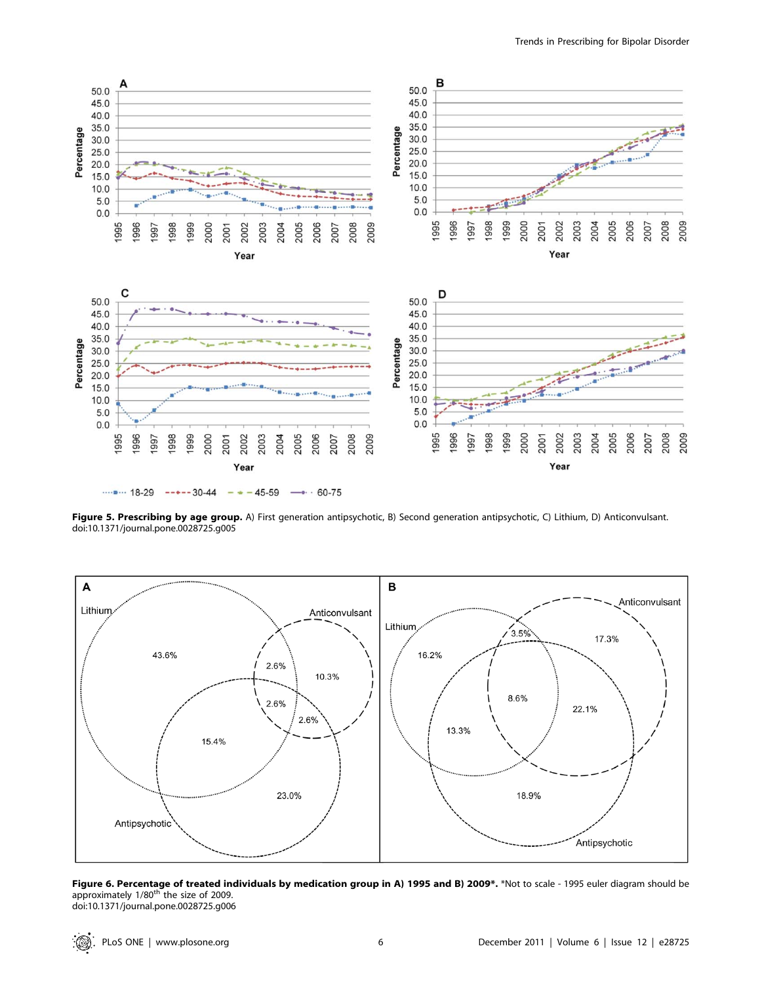

Figure 5. Prescribing by age group. A) First generation antipsychotic, B) Second generation antipsychotic, C) Lithium, D) Anticonvulsant. doi:10.1371/journal.pone.0028725.g005



Figure 6. Percentage of treated individuals by medication group in A) 1995 and B) 2009\*. \*Not to scale - 1995 euler diagram should be approximately 1/80<sup>th</sup> the size of 2009. doi:10.1371/journal.pone.0028725.g006

: © ∂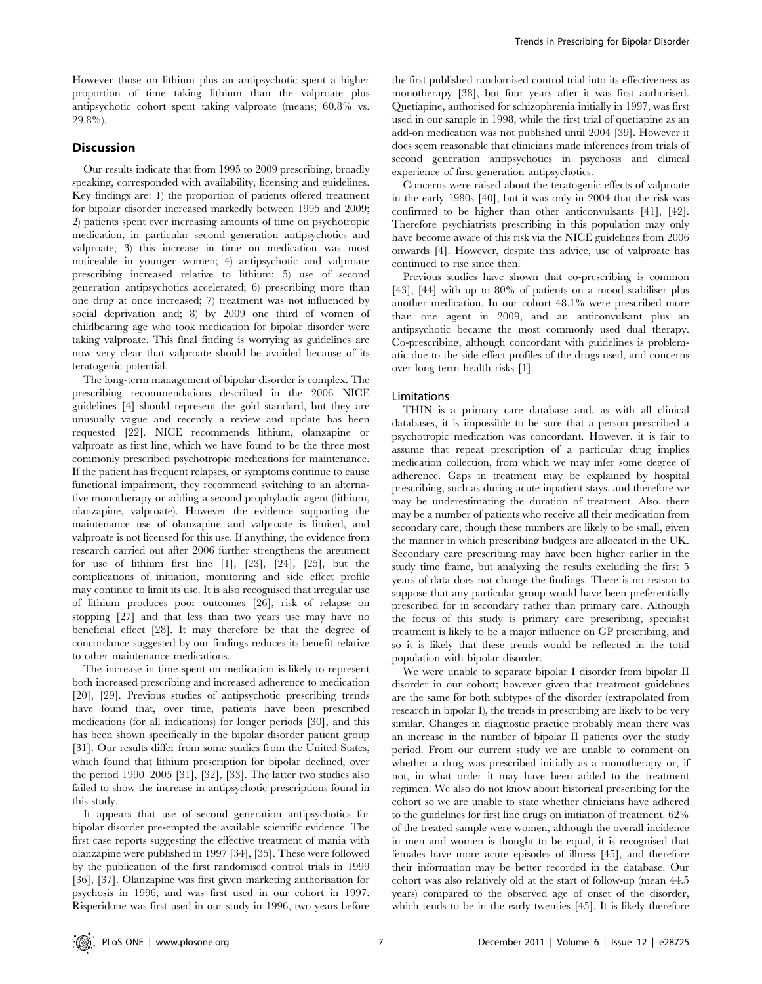However those on lithium plus an antipsychotic spent a higher proportion of time taking lithium than the valproate plus antipsychotic cohort spent taking valproate (means; 60.8% vs. 29.8%).

# Discussion

Our results indicate that from 1995 to 2009 prescribing, broadly speaking, corresponded with availability, licensing and guidelines. Key findings are: 1) the proportion of patients offered treatment for bipolar disorder increased markedly between 1995 and 2009; 2) patients spent ever increasing amounts of time on psychotropic medication, in particular second generation antipsychotics and valproate; 3) this increase in time on medication was most noticeable in younger women; 4) antipsychotic and valproate prescribing increased relative to lithium; 5) use of second generation antipsychotics accelerated; 6) prescribing more than one drug at once increased; 7) treatment was not influenced by social deprivation and; 8) by 2009 one third of women of childbearing age who took medication for bipolar disorder were taking valproate. This final finding is worrying as guidelines are now very clear that valproate should be avoided because of its teratogenic potential.

The long-term management of bipolar disorder is complex. The prescribing recommendations described in the 2006 NICE guidelines [4] should represent the gold standard, but they are unusually vague and recently a review and update has been requested [22]. NICE recommends lithium, olanzapine or valproate as first line, which we have found to be the three most commonly prescribed psychotropic medications for maintenance. If the patient has frequent relapses, or symptoms continue to cause functional impairment, they recommend switching to an alternative monotherapy or adding a second prophylactic agent (lithium, olanzapine, valproate). However the evidence supporting the maintenance use of olanzapine and valproate is limited, and valproate is not licensed for this use. If anything, the evidence from research carried out after 2006 further strengthens the argument for use of lithium first line  $[1]$ ,  $[23]$ ,  $[24]$ ,  $[25]$ , but the complications of initiation, monitoring and side effect profile may continue to limit its use. It is also recognised that irregular use of lithium produces poor outcomes [26], risk of relapse on stopping [27] and that less than two years use may have no beneficial effect [28]. It may therefore be that the degree of concordance suggested by our findings reduces its benefit relative to other maintenance medications.

The increase in time spent on medication is likely to represent both increased prescribing and increased adherence to medication [20], [29]. Previous studies of antipsychotic prescribing trends have found that, over time, patients have been prescribed medications (for all indications) for longer periods [30], and this has been shown specifically in the bipolar disorder patient group [31]. Our results differ from some studies from the United States, which found that lithium prescription for bipolar declined, over the period 1990–2005 [31], [32], [33]. The latter two studies also failed to show the increase in antipsychotic prescriptions found in this study.

It appears that use of second generation antipsychotics for bipolar disorder pre-empted the available scientific evidence. The first case reports suggesting the effective treatment of mania with olanzapine were published in 1997 [34], [35]. These were followed by the publication of the first randomised control trials in 1999 [36], [37]. Olanzapine was first given marketing authorisation for psychosis in 1996, and was first used in our cohort in 1997. Risperidone was first used in our study in 1996, two years before

the first published randomised control trial into its effectiveness as monotherapy [38], but four years after it was first authorised. Quetiapine, authorised for schizophrenia initially in 1997, was first used in our sample in 1998, while the first trial of quetiapine as an add-on medication was not published until 2004 [39]. However it does seem reasonable that clinicians made inferences from trials of second generation antipsychotics in psychosis and clinical experience of first generation antipsychotics.

Concerns were raised about the teratogenic effects of valproate in the early 1980s [40], but it was only in 2004 that the risk was confirmed to be higher than other anticonvulsants [41], [42]. Therefore psychiatrists prescribing in this population may only have become aware of this risk via the NICE guidelines from 2006 onwards [4]. However, despite this advice, use of valproate has continued to rise since then.

Previous studies have shown that co-prescribing is common [43], [44] with up to 80% of patients on a mood stabiliser plus another medication. In our cohort 48.1% were prescribed more than one agent in 2009, and an anticonvulsant plus an antipsychotic became the most commonly used dual therapy. Co-prescribing, although concordant with guidelines is problematic due to the side effect profiles of the drugs used, and concerns over long term health risks [1].

#### Limitations

THIN is a primary care database and, as with all clinical databases, it is impossible to be sure that a person prescribed a psychotropic medication was concordant. However, it is fair to assume that repeat prescription of a particular drug implies medication collection, from which we may infer some degree of adherence. Gaps in treatment may be explained by hospital prescribing, such as during acute inpatient stays, and therefore we may be underestimating the duration of treatment. Also, there may be a number of patients who receive all their medication from secondary care, though these numbers are likely to be small, given the manner in which prescribing budgets are allocated in the UK. Secondary care prescribing may have been higher earlier in the study time frame, but analyzing the results excluding the first 5 years of data does not change the findings. There is no reason to suppose that any particular group would have been preferentially prescribed for in secondary rather than primary care. Although the focus of this study is primary care prescribing, specialist treatment is likely to be a major influence on GP prescribing, and so it is likely that these trends would be reflected in the total population with bipolar disorder.

We were unable to separate bipolar I disorder from bipolar II disorder in our cohort; however given that treatment guidelines are the same for both subtypes of the disorder (extrapolated from research in bipolar I), the trends in prescribing are likely to be very similar. Changes in diagnostic practice probably mean there was an increase in the number of bipolar II patients over the study period. From our current study we are unable to comment on whether a drug was prescribed initially as a monotherapy or, if not, in what order it may have been added to the treatment regimen. We also do not know about historical prescribing for the cohort so we are unable to state whether clinicians have adhered to the guidelines for first line drugs on initiation of treatment. 62% of the treated sample were women, although the overall incidence in men and women is thought to be equal, it is recognised that females have more acute episodes of illness [45], and therefore their information may be better recorded in the database. Our cohort was also relatively old at the start of follow-up (mean 44.5 years) compared to the observed age of onset of the disorder, which tends to be in the early twenties [45]. It is likely therefore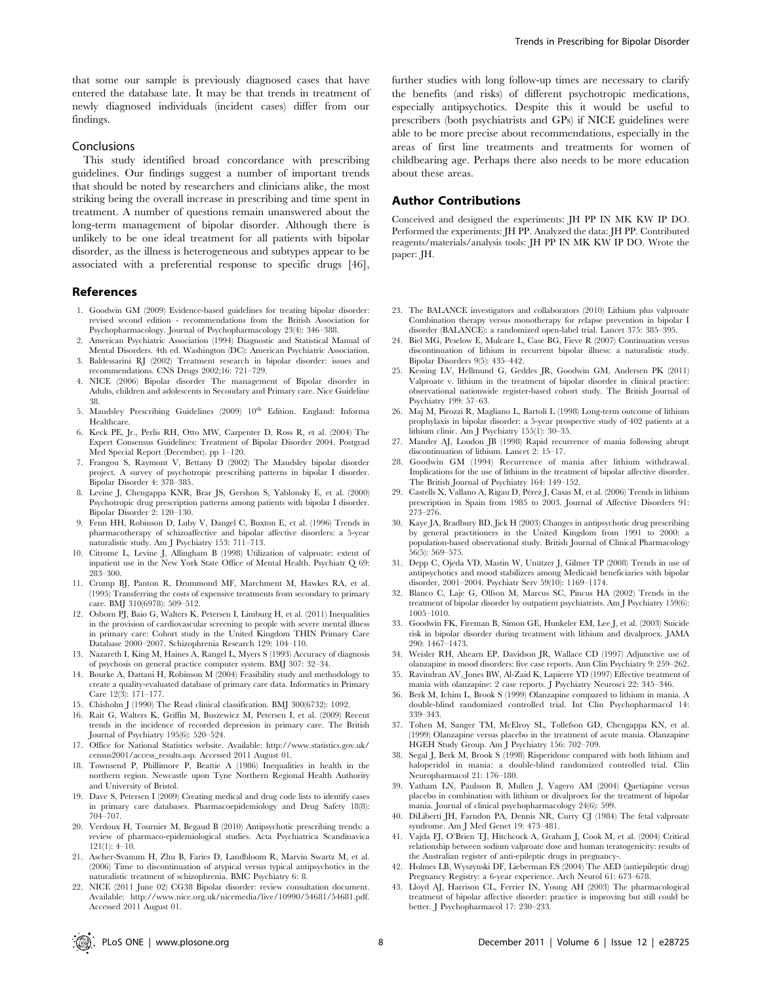that some our sample is previously diagnosed cases that have entered the database late. It may be that trends in treatment of newly diagnosed individuals (incident cases) differ from our findings.

#### Conclusions

This study identified broad concordance with prescribing guidelines. Our findings suggest a number of important trends that should be noted by researchers and clinicians alike, the most striking being the overall increase in prescribing and time spent in treatment. A number of questions remain unanswered about the long-term management of bipolar disorder. Although there is unlikely to be one ideal treatment for all patients with bipolar disorder, as the illness is heterogeneous and subtypes appear to be associated with a preferential response to specific drugs [46],

# References

- 1. Goodwin GM (2009) Evidence-based guidelines for treating bipolar disorder: revised second edition - recommendations from the British Association for Psychopharmacology. Journal of Psychopharmacology 23(4): 346–388.
- American Psychiatric Association (1994) Diagnostic and Statistical Manual of Mental Disorders. 4th ed. Washington (DC): American Psychiatric Association.
- 3. Baldessarini RJ (2002) Treatment research in bipolar disorder: issues and recommendations. CNS Drugs 2002;16: 721–729.
- 4. NICE (2006) Bipolar disorder The management of Bipolar disorder in Adults, children and adolescents in Secondary and Primary care. Nice Guideline 38.
- 5. Maudsley Prescribing Guidelines (2009)  $10^{th}$  Edition. England: Informa **Healthcare**
- 6. Keck PE, Jr., Perlis RH, Otto MW, Carpenter D, Ross R, et al. (2004) The Expert Consensus Guidelines: Treatment of Bipolar Disorder 2004. Postgrad Med Special Report (December). pp 1–120.
- 7. Frangou S, Raymont V, Bettany D (2002) The Maudsley bipolar disorder project. A survey of psychotropic prescribing patterns in bipolar I disorder. Bipolar Disorder 4: 378–385.
- 8. Levine J, Chengappa KNR, Brar JS, Gershon S, Yablonsky E, et al. (2000) Psychotropic drug prescription patterns among patients with bipolar I disorder. Bipolar Disorder 2: 120–130.
- 9. Fenn HH, Robinson D, Luby V, Dangel C, Buxton E, et al. (1996) Trends in pharmacotherapy of schizoaffective and bipolar affective disorders: a 5-year naturalistic study. Am J Psychiatry 153: 711–713.
- 10. Citrome L, Levine J, Allingham B (1998) Utilization of valproate: extent of inpatient use in the New York State Office of Mental Health. Psychiatr Q 69: 283–300.
- 11. Crump BJ, Panton R, Drummond MF, Marchment M, Hawkes RA, et al. (1995) Transferring the costs of expensive treatments from secondary to primary care. BMJ 310(6978): 509–512.
- 12. Osborn PJ, Baio G, Walters K, Petersen I, Limburg H, et al. (2011) Inequalities in the provision of cardiovascular screening to people with severe mental illness in primary care: Cohort study in the United Kingdom THIN Primary Care Database 2000–2007. Schizophrenia Research 129: 104–110.
- 13. Nazareth I, King M, Haines A, Rangel L, Myers S (1993) Accuracy of diagnosis of psychosis on general practice computer system. BMJ 307: 32–34.
- 14. Bourke A, Dattani H, Robinson M (2004) Feasibility study and methodology to create a quality-evaluated database of primary care data. Informatics in Primary Care 12(3): 171–177.
- 15. Chisholm J (1990) The Read clinical classification. BMJ 300(6732): 1092.
- 16. Rait G, Walters K, Griffin M, Buszewicz M, Petersen I, et al. (2009) Recent trends in the incidence of recorded depression in primary care. The British Journal of Psychiatry 195(6): 520–524.
- 17. Office for National Statistics website. Available: http://www.statistics.gov.uk/ census2001/access\_results.asp. Accessed 2011 August 01.
- 18. Townsend P, Phillimore P, Beattie A (1986) Inequalities in health in the northern region. Newcastle upon Tyne Northern Regional Health Authority and University of Bristol.
- 19. Dave S, Petersen I (2009) Creating medical and drug code lists to identify cases in primary care databases. Pharmacoepidemiology and Drug Safety 18(8): 704–707.
- 20. Verdoux H, Tournier M, Begaud B (2010) Antipsychotic prescribing trends: a review of pharmaco-epidemiological studies. Acta Psychiatrica Scandinavica 121(1): 4–10.
- 21. Ascher-Svanum H, Zhu B, Faries D, Landbloom R, Marvin Swartz M, et al. (2006) Time to discontinuation of atypical versus typical antipsychotics in the naturalistic treatment of schizophrenia. BMC Psychiatry 6: 8.
- 22. NICE (2011 June 02) CG38 Bipolar disorder: review consultation document. Available: http://www.nice.org.uk/nicemedia/live/10990/54681/54681.pdf. Accessed 2011 August 01.

further studies with long follow-up times are necessary to clarify the benefits (and risks) of different psychotropic medications, especially antipsychotics. Despite this it would be useful to prescribers (both psychiatrists and GPs) if NICE guidelines were able to be more precise about recommendations, especially in the areas of first line treatments and treatments for women of childbearing age. Perhaps there also needs to be more education about these areas.

#### Author Contributions

Conceived and designed the experiments: JH PP IN MK KW IP DO. Performed the experiments: JH PP. Analyzed the data: JH PP. Contributed reagents/materials/analysis tools: JH PP IN MK KW IP DO. Wrote the paper: JH.

- 23. The BALANCE investigators and collaborators (2010) Lithium plus valproate Combination therapy versus monotherapy for relapse prevention in bipolar I disorder (BALANCE): a randomized open-label trial. Lancet 375: 385–395.
- 24. Biel MG, Peselow E, Mulcare L, Case BG, Fieve R (2007) Continuation versus discontinuation of lithium in recurrent bipolar illness: a naturalistic study. Bipolar Disorders 9(5): 435–442.
- 25. Kessing LV, Hellmund G, Geddes JR, Goodwin GM, Andersen PK (2011) Valproate v. lithium in the treatment of bipolar disorder in clinical practice: observational nationwide register-based cohort study. The British Journal of Psychiatry 199: 57–63.
- 26. Maj M, Pirozzi R, Magliano L, Bartoli L (1998) Long-term outcome of lithium prophylaxis in bipolar disorder: a 5-year prospective study of 402 patients at a lithium clinic. Am J Psychiatry 155(1): 30–35.
- 27. Mander AJ, Loudon JB (1998) Rapid recurrence of mania following abrupt discontinuation of lithium. Lancet 2: 15–17.
- 28. Goodwin GM (1994) Recurrence of mania after lithium withdrawal. Implications for the use of lithium in the treatment of bipolar affective disorder. The British Journal of Psychiatry 164: 149–152.
- 29. Castells X, Vallano A, Rigau D, Pérez J, Casas M, et al. (2006) Trends in lithium prescription in Spain from 1985 to 2003. Journal of Affective Disorders 91: 273–276.
- 30. Kaye JA, Bradbury BD, Jick H (2003) Changes in antipsychotic drug prescribing by general practitioners in the United Kingdom from 1991 to 2000: a population-based observational study. British Journal of Clinical Pharmacology 56(5): 569–575.
- 31. Depp C, Ojeda VD, Mastin W, Unützer J, Gilmer TP (2008) Trends in use of antipsychotics and mood stabilizers among Medicaid beneficiaries with bipolar disorder, 2001–2004. Psychiatr Serv 59(10): 1169–1174.
- 32. Blanco C, Laje G, Olfson M, Marcus SC, Pincus HA (2002) Trends in the treatment of bipolar disorder by outpatient psychiatrists. Am J Psychiatry 159(6): 1005–1010.
- 33. Goodwin FK, Fireman B, Simon GE, Hunkeler EM, Lee J, et al. (2003) Suicide risk in bipolar disorder during treatment with lithium and divalproex. JAMA 290: 1467–1473.
- 34. Weisler RH, Ahearn EP, Davidson JR, Wallace CD (1997) Adjunctive use of olanzapine in mood disorders: five case reports. Ann Clin Psychiatry 9: 259–262.
- 35. Ravindran AV, Jones BW, Al-Zaid K, Lapierre YD (1997) Effective treatment of mania with olanzapine: 2 case reports. J Psychiatry Neurosci 22: 345–346.
- 36. Berk M, Ichim L, Brook S (1999) Olanzapine compared to lithium in mania. A double-blind randomized controlled trial. Int Clin Psychopharmacol 14: 339–343.
- 37. Tohen M, Sanger TM, McElroy SL, Tollefson GD, Chengappa KN, et al. (1999) Olanzapine versus placebo in the treatment of acute mania. Olanzapine HGEH Study Group. Am J Psychiatry 156: 702–709.
- 38. Segal J, Berk M, Brook S (1998) Risperidone compared with both lithium and haloperidol in mania: a double-blind randomized controlled trial. Clin Neuropharmacol 21: 176–180.
- 39. Yatham LN, Paulsson B, Mullen J, Vagero AM (2004) Quetiapine versus placebo in combination with lithium or divalproex for the treatment of bipolar mania. Journal of clinical psychopharmacology 24(6): 599.
- 40. DiLiberti JH, Farndon PA, Dennis NR, Curry CJ (1984) The fetal valproate syndrome. Am J Med Genet 19: 473–481.
- 41. Vajda FJ, O'Brien TJ, Hitchcock A, Graham J, Cook M, et al. (2004) Critical relationship between sodium valproate dose and human teratogenicity: results of the Australian register of anti-epileptic drugs in pregnancy-.
- 42. Holmes LB, Wyszynski DF, Lieberman ES (2004) The AED (antiepileptic drug) Pregnancy Registry: a 6-year experience. Arch Neurol 61: 673–678.
- 43. Lloyd AJ, Harrison CL, Ferrier IN, Young AH (2003) The pharmacological treatment of bipolar affective disorder: practice is improving but still could be better. J Psychopharmacol 17: 230–233.